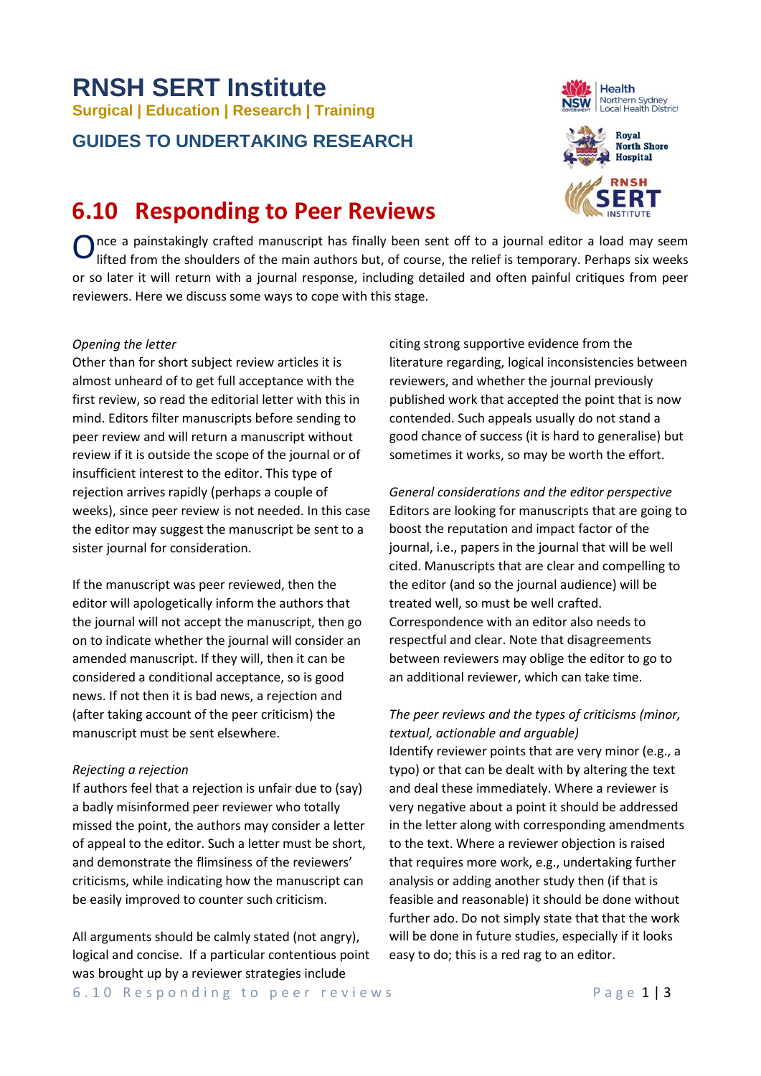# **RNSH SERT Institute Surgical | Education | Research | Training**

### **GUIDES TO UNDERTAKING RESEARCH**

## **6.10 Responding to Peer Reviews**

Once a painstakingly crafted manuscript has finally been sent off to a journal editor a load may seem<br>lifted from the shoulders of the main authors but, of course, the relief is temporary. Perhaps six weeks lifted from the shoulders of the main authors but, of course, the relief is temporary. Perhaps six weeks or so later it will return with a journal response, including detailed and often painful critiques from peer reviewers. Here we discuss some ways to cope with this stage.

#### *Opening the letter*

Other than for short subject review articles it is almost unheard of to get full acceptance with the first review, so read the editorial letter with this in mind. Editors filter manuscripts before sending to peer review and will return a manuscript without review if it is outside the scope of the journal or of insufficient interest to the editor. This type of rejection arrives rapidly (perhaps a couple of weeks), since peer review is not needed. In this case the editor may suggest the manuscript be sent to a sister journal for consideration.

If the manuscript was peer reviewed, then the editor will apologetically inform the authors that the journal will not accept the manuscript, then go on to indicate whether the journal will consider an amended manuscript. If they will, then it can be considered a conditional acceptance, so is good news. If not then it is bad news, a rejection and (after taking account of the peer criticism) the manuscript must be sent elsewhere.

#### *Rejecting a rejection*

If authors feel that a rejection is unfair due to (say) a badly misinformed peer reviewer who totally missed the point, the authors may consider a letter of appeal to the editor. Such a letter must be short, and demonstrate the flimsiness of the reviewers' criticisms, while indicating how the manuscript can be easily improved to counter such criticism.

All arguments should be calmly stated (not angry), logical and concise. If a particular contentious point was brought up by a reviewer strategies include





citing strong supportive evidence from the literature regarding, logical inconsistencies between reviewers, and whether the journal previously published work that accepted the point that is now contended. Such appeals usually do not stand a good chance of success (it is hard to generalise) but sometimes it works, so may be worth the effort.

*General considerations and the editor perspective* Editors are looking for manuscripts that are going to boost the reputation and impact factor of the journal, i.e., papers in the journal that will be well cited. Manuscripts that are clear and compelling to the editor (and so the journal audience) will be treated well, so must be well crafted. Correspondence with an editor also needs to respectful and clear. Note that disagreements between reviewers may oblige the editor to go to an additional reviewer, which can take time.

#### *The peer reviews and the types of criticisms (minor, textual, actionable and arguable)*

Identify reviewer points that are very minor (e.g., a typo) or that can be dealt with by altering the text and deal these immediately. Where a reviewer is very negative about a point it should be addressed in the letter along with corresponding amendments to the text. Where a reviewer objection is raised that requires more work, e.g., undertaking further analysis or adding another study then (if that is feasible and reasonable) it should be done without further ado. Do not simply state that that the work will be done in future studies, especially if it looks easy to do; this is a red rag to an editor.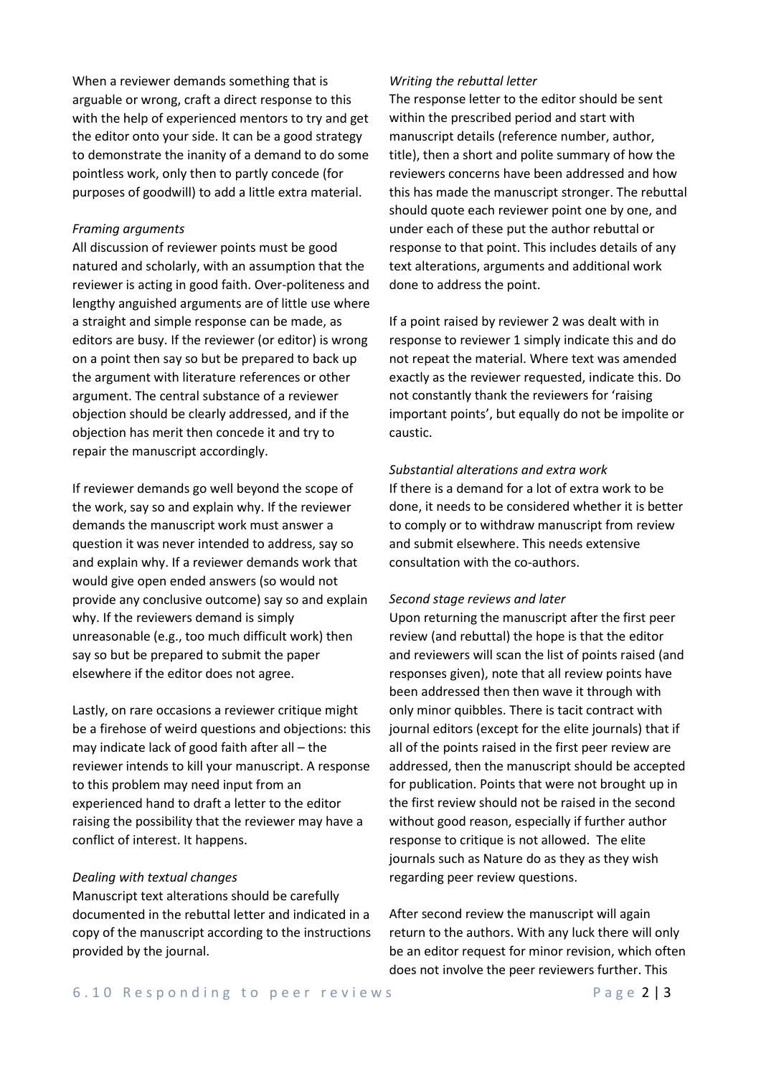When a reviewer demands something that is arguable or wrong, craft a direct response to this with the help of experienced mentors to try and get the editor onto your side. It can be a good strategy to demonstrate the inanity of a demand to do some pointless work, only then to partly concede (for purposes of goodwill) to add a little extra material.

#### *Framing arguments*

All discussion of reviewer points must be good natured and scholarly, with an assumption that the reviewer is acting in good faith. Over-politeness and lengthy anguished arguments are of little use where a straight and simple response can be made, as editors are busy. If the reviewer (or editor) is wrong on a point then say so but be prepared to back up the argument with literature references or other argument. The central substance of a reviewer objection should be clearly addressed, and if the objection has merit then concede it and try to repair the manuscript accordingly.

If reviewer demands go well beyond the scope of the work, say so and explain why. If the reviewer demands the manuscript work must answer a question it was never intended to address, say so and explain why. If a reviewer demands work that would give open ended answers (so would not provide any conclusive outcome) say so and explain why. If the reviewers demand is simply unreasonable (e.g., too much difficult work) then say so but be prepared to submit the paper elsewhere if the editor does not agree.

Lastly, on rare occasions a reviewer critique might be a firehose of weird questions and objections: this may indicate lack of good faith after all – the reviewer intends to kill your manuscript. A response to this problem may need input from an experienced hand to draft a letter to the editor raising the possibility that the reviewer may have a conflict of interest. It happens.

#### *Dealing with textual changes*

Manuscript text alterations should be carefully documented in the rebuttal letter and indicated in a copy of the manuscript according to the instructions provided by the journal.

#### *Writing the rebuttal letter*

The response letter to the editor should be sent within the prescribed period and start with manuscript details (reference number, author, title), then a short and polite summary of how the reviewers concerns have been addressed and how this has made the manuscript stronger. The rebuttal should quote each reviewer point one by one, and under each of these put the author rebuttal or response to that point. This includes details of any text alterations, arguments and additional work done to address the point.

If a point raised by reviewer 2 was dealt with in response to reviewer 1 simply indicate this and do not repeat the material. Where text was amended exactly as the reviewer requested, indicate this. Do not constantly thank the reviewers for 'raising important points', but equally do not be impolite or caustic.

#### *Substantial alterations and extra work*

If there is a demand for a lot of extra work to be done, it needs to be considered whether it is better to comply or to withdraw manuscript from review and submit elsewhere. This needs extensive consultation with the co-authors.

#### *Second stage reviews and later*

Upon returning the manuscript after the first peer review (and rebuttal) the hope is that the editor and reviewers will scan the list of points raised (and responses given), note that all review points have been addressed then then wave it through with only minor quibbles. There is tacit contract with journal editors (except for the elite journals) that if all of the points raised in the first peer review are addressed, then the manuscript should be accepted for publication. Points that were not brought up in the first review should not be raised in the second without good reason, especially if further author response to critique is not allowed. The elite journals such as Nature do as they as they wish regarding peer review questions.

After second review the manuscript will again return to the authors. With any luck there will only be an editor request for minor revision, which often does not involve the peer reviewers further. This